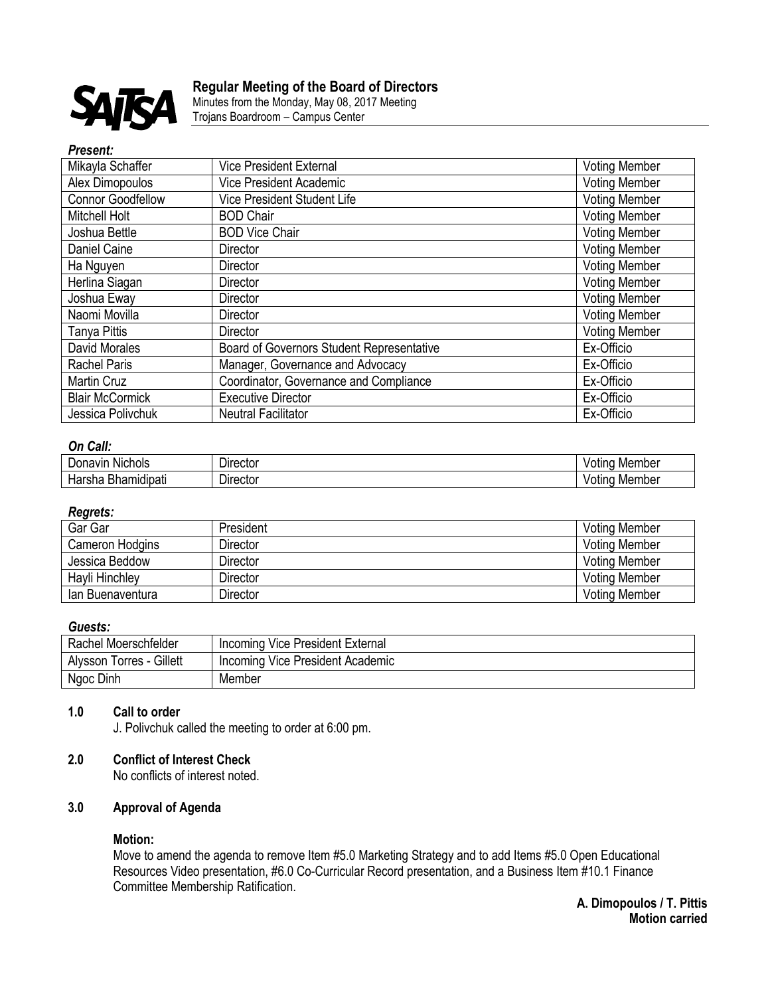

# **Regular Meeting of the Board of Directors**

Minutes from the Monday, May 08, 2017 Meeting Trojans Boardroom – Campus Center

#### *Present:*

| Mikayla Schaffer         | <b>Vice President External</b>            | <b>Voting Member</b> |
|--------------------------|-------------------------------------------|----------------------|
| Alex Dimopoulos          | <b>Vice President Academic</b>            | <b>Voting Member</b> |
| <b>Connor Goodfellow</b> | Vice President Student Life               | <b>Voting Member</b> |
| Mitchell Holt            | <b>BOD Chair</b>                          | <b>Voting Member</b> |
| Joshua Bettle            | <b>BOD Vice Chair</b>                     | <b>Voting Member</b> |
| Daniel Caine             | <b>Director</b>                           | <b>Voting Member</b> |
| Ha Nguyen                | <b>Director</b>                           | <b>Voting Member</b> |
| Herlina Siagan           | Director                                  | <b>Voting Member</b> |
| Joshua Eway              | <b>Director</b>                           | <b>Voting Member</b> |
| Naomi Movilla            | <b>Director</b>                           | <b>Voting Member</b> |
| Tanya Pittis             | Director                                  | <b>Voting Member</b> |
| David Morales            | Board of Governors Student Representative | Ex-Officio           |
| <b>Rachel Paris</b>      | Manager, Governance and Advocacy          | Ex-Officio           |
| <b>Martin Cruz</b>       | Coordinator, Governance and Compliance    | Ex-Officio           |
| <b>Blair McCormick</b>   | <b>Executive Director</b>                 | Ex-Officio           |
| Jessica Polivchuk        | <b>Neutral Facilitator</b>                | Ex-Officio           |

# *On Call:*

| .<br>-<br><b>Nichols</b><br>Jor.<br>າavır<br>٠ıc. | Director         | Member<br>100000<br>our   |
|---------------------------------------------------|------------------|---------------------------|
| ımıdıpatı<br>۱۱d۱'۰'<br>ыа                        | <i>D</i> ırector | Member<br>100000<br>'Olii |

# *Regrets:*

| Gar Gar          | President | <b>Voting Member</b> |
|------------------|-----------|----------------------|
| Cameron Hodgins  | Director  | <b>Voting Member</b> |
| Jessica Beddow   | Director  | <b>Voting Member</b> |
| Hayli Hinchley   | Director  | <b>Voting Member</b> |
| lan Buenaventura | Director  | <b>Voting Member</b> |

# *Guests:*

| Rachel Moerschfelder     | Incoming Vice President External |
|--------------------------|----------------------------------|
| Alysson Torres - Gillett | Incoming Vice President Academic |
| Ngoc Dinh                | Member                           |

# **1.0 Call to order**

J. Polivchuk called the meeting to order at 6:00 pm.

# **2.0 Conflict of Interest Check**

No conflicts of interest noted.

# **3.0 Approval of Agenda**

# **Motion:**

Move to amend the agenda to remove Item #5.0 Marketing Strategy and to add Items #5.0 Open Educational Resources Video presentation, #6.0 Co-Curricular Record presentation, and a Business Item #10.1 Finance Committee Membership Ratification.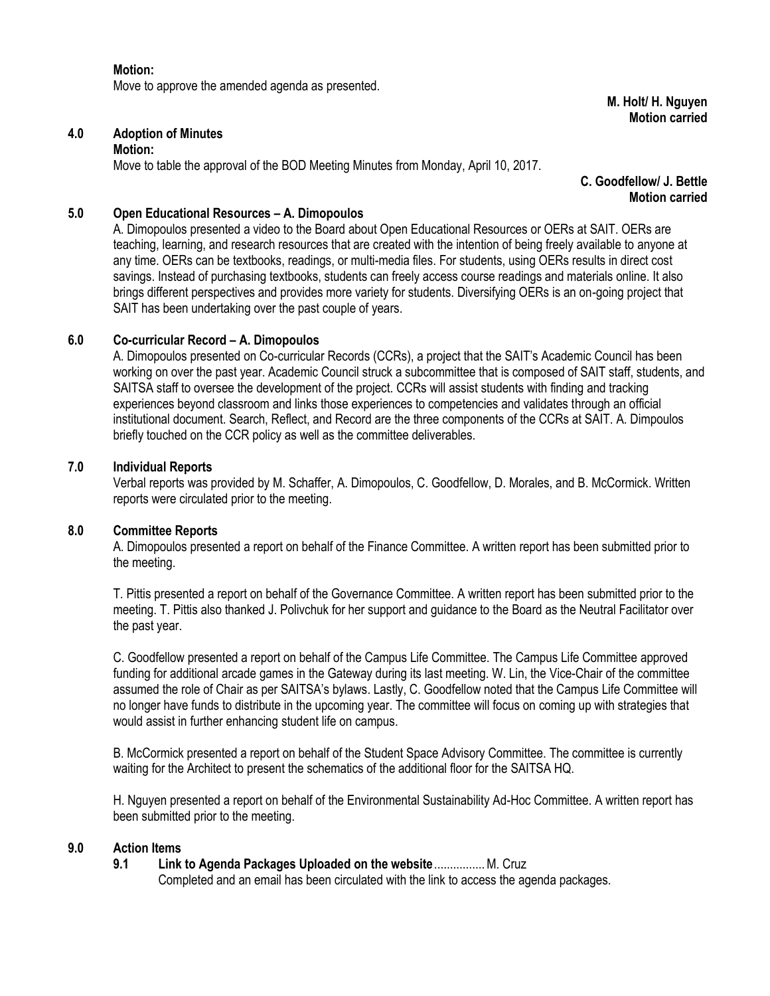**Motion:** Move to approve the amended agenda as presented.

**M. Holt/ H. Nguyen Motion carried**

# **4.0 Adoption of Minutes**

#### **Motion:**

Move to table the approval of the BOD Meeting Minutes from Monday, April 10, 2017.

**C. Goodfellow/ J. Bettle Motion carried**

# **5.0 Open Educational Resources – A. Dimopoulos**

A. Dimopoulos presented a video to the Board about Open Educational Resources or OERs at SAIT. OERs are teaching, learning, and research resources that are created with the intention of being freely available to anyone at any time. OERs can be textbooks, readings, or multi-media files. For students, using OERs results in direct cost savings. Instead of purchasing textbooks, students can freely access course readings and materials online. It also brings different perspectives and provides more variety for students. Diversifying OERs is an on-going project that SAIT has been undertaking over the past couple of years.

# **6.0 Co-curricular Record – A. Dimopoulos**

A. Dimopoulos presented on Co-curricular Records (CCRs), a project that the SAIT's Academic Council has been working on over the past year. Academic Council struck a subcommittee that is composed of SAIT staff, students, and SAITSA staff to oversee the development of the project. CCRs will assist students with finding and tracking experiences beyond classroom and links those experiences to competencies and validates through an official institutional document. Search, Reflect, and Record are the three components of the CCRs at SAIT. A. Dimpoulos briefly touched on the CCR policy as well as the committee deliverables.

#### **7.0 Individual Reports**

Verbal reports was provided by M. Schaffer, A. Dimopoulos, C. Goodfellow, D. Morales, and B. McCormick. Written reports were circulated prior to the meeting.

#### **8.0 Committee Reports**

A. Dimopoulos presented a report on behalf of the Finance Committee. A written report has been submitted prior to the meeting.

T. Pittis presented a report on behalf of the Governance Committee. A written report has been submitted prior to the meeting. T. Pittis also thanked J. Polivchuk for her support and guidance to the Board as the Neutral Facilitator over the past year.

C. Goodfellow presented a report on behalf of the Campus Life Committee. The Campus Life Committee approved funding for additional arcade games in the Gateway during its last meeting. W. Lin, the Vice-Chair of the committee assumed the role of Chair as per SAITSA's bylaws. Lastly, C. Goodfellow noted that the Campus Life Committee will no longer have funds to distribute in the upcoming year. The committee will focus on coming up with strategies that would assist in further enhancing student life on campus.

B. McCormick presented a report on behalf of the Student Space Advisory Committee. The committee is currently waiting for the Architect to present the schematics of the additional floor for the SAITSA HQ.

H. Nguyen presented a report on behalf of the Environmental Sustainability Ad-Hoc Committee. A written report has been submitted prior to the meeting.

# **9.0 Action Items**

# **9.1 Link to Agenda Packages Uploaded on the website**................M. Cruz

Completed and an email has been circulated with the link to access the agenda packages.